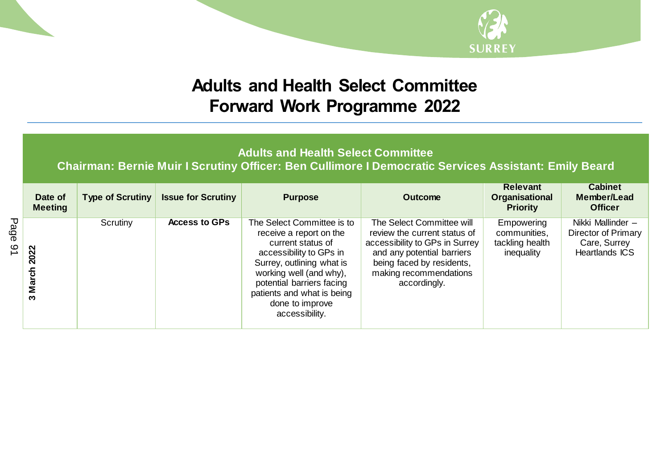

## **Adults and Health Select Committee Forward Work Programme 2022**

**Adults and Health Select Committee**

**Chairman: Bernie Muir I Scrutiny Officer: Ben Cullimore I Democratic Services Assistant: Emily Beard**

| Date of<br><b>Meeting</b>   | <b>Type of Scrutiny</b> | <b>Issue for Scrutiny</b> | <b>Purpose</b>                                                                                                                                                                                                                                                | <b>Outcome</b>                                                                                                                                                                                   | <b>Relevant</b><br>Organisational<br><b>Priority</b>        | <b>Cabinet</b><br>Member/Lead<br><b>Officer</b>                                   |
|-----------------------------|-------------------------|---------------------------|---------------------------------------------------------------------------------------------------------------------------------------------------------------------------------------------------------------------------------------------------------------|--------------------------------------------------------------------------------------------------------------------------------------------------------------------------------------------------|-------------------------------------------------------------|-----------------------------------------------------------------------------------|
| 2022<br>ठ<br>Га<br>Маі<br>ო | Scrutiny                | <b>Access to GPs</b>      | The Select Committee is to<br>receive a report on the<br>current status of<br>accessibility to GPs in<br>Surrey, outlining what is<br>working well (and why),<br>potential barriers facing<br>patients and what is being<br>done to improve<br>accessibility. | The Select Committee will<br>review the current status of<br>accessibility to GPs in Surrey<br>and any potential barriers<br>being faced by residents,<br>making recommendations<br>accordingly. | Empowering<br>communities,<br>tackling health<br>inequality | Nikki Mallinder -<br>Director of Primary<br>Care, Surrey<br><b>Heartlands ICS</b> |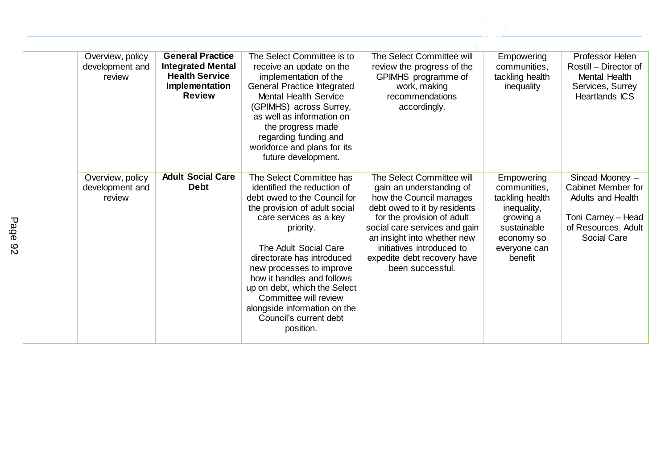| Overview, policy<br>development and<br>review | <b>General Practice</b><br><b>Integrated Mental</b><br><b>Health Service</b><br>Implementation<br><b>Review</b> | The Select Committee is to<br>receive an update on the<br>implementation of the<br><b>General Practice Integrated</b><br>Mental Health Service<br>(GPIMHS) across Surrey,<br>as well as information on<br>the progress made<br>regarding funding and<br>workforce and plans for its                                                                                                                                                     | The Select Committee will<br>review the progress of the<br>GPIMHS programme of<br>work, making<br>recommendations<br>accordingly.                                                                                                                                                              | Empowering<br>communities,<br>tackling health<br>inequality                                                                       | Professor Helen<br>Rostill - Director of<br>Mental Health<br>Services, Surrey<br><b>Heartlands ICS</b>                        |
|-----------------------------------------------|-----------------------------------------------------------------------------------------------------------------|-----------------------------------------------------------------------------------------------------------------------------------------------------------------------------------------------------------------------------------------------------------------------------------------------------------------------------------------------------------------------------------------------------------------------------------------|------------------------------------------------------------------------------------------------------------------------------------------------------------------------------------------------------------------------------------------------------------------------------------------------|-----------------------------------------------------------------------------------------------------------------------------------|-------------------------------------------------------------------------------------------------------------------------------|
| Overview, policy<br>development and<br>review | <b>Adult Social Care</b><br><b>Debt</b>                                                                         | future development.<br>The Select Committee has<br>identified the reduction of<br>debt owed to the Council for<br>the provision of adult social<br>care services as a key<br>priority.<br>The Adult Social Care<br>directorate has introduced<br>new processes to improve<br>how it handles and follows<br>up on debt, which the Select<br>Committee will review<br>alongside information on the<br>Council's current debt<br>position. | The Select Committee will<br>gain an understanding of<br>how the Council manages<br>debt owed to it by residents<br>for the provision of adult<br>social care services and gain<br>an insight into whether new<br>initiatives introduced to<br>expedite debt recovery have<br>been successful. | Empowering<br>communities,<br>tackling health<br>inequality,<br>growing a<br>sustainable<br>economy so<br>everyone can<br>benefit | Sinead Mooney -<br>Cabinet Member for<br><b>Adults and Health</b><br>Toni Carney - Head<br>of Resources, Adult<br>Social Care |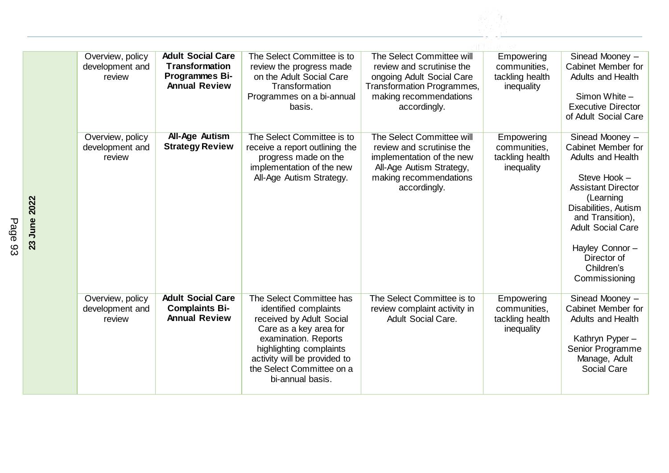| Overview, policy<br>development and<br>review | <b>Adult Social Care</b><br><b>Transformation</b><br><b>Programmes Bi-</b><br><b>Annual Review</b> | The Select Committee is to<br>review the progress made<br>on the Adult Social Care<br>Transformation<br>Programmes on a bi-annual<br>basis.                                                                                                 | The Select Committee will<br>review and scrutinise the<br>ongoing Adult Social Care<br>Transformation Programmes,<br>making recommendations<br>accordingly. | Empowering<br>communities.<br>tackling health<br>inequality | Sinead Mooney -<br>Cabinet Member for<br>Adults and Health<br>Simon White -<br><b>Executive Director</b><br>of Adult Social Care                                                                                                                                    |
|-----------------------------------------------|----------------------------------------------------------------------------------------------------|---------------------------------------------------------------------------------------------------------------------------------------------------------------------------------------------------------------------------------------------|-------------------------------------------------------------------------------------------------------------------------------------------------------------|-------------------------------------------------------------|---------------------------------------------------------------------------------------------------------------------------------------------------------------------------------------------------------------------------------------------------------------------|
| Overview, policy<br>development and<br>review | <b>All-Age Autism</b><br><b>Strategy Review</b>                                                    | The Select Committee is to<br>receive a report outlining the<br>progress made on the<br>implementation of the new<br>All-Age Autism Strategy.                                                                                               | The Select Committee will<br>review and scrutinise the<br>implementation of the new<br>All-Age Autism Strategy,<br>making recommendations<br>accordingly.   | Empowering<br>communities,<br>tackling health<br>inequality | Sinead Mooney -<br>Cabinet Member for<br><b>Adults and Health</b><br>Steve Hook -<br><b>Assistant Director</b><br>(Learning<br>Disabilities, Autism<br>and Transition),<br><b>Adult Social Care</b><br>Hayley Connor-<br>Director of<br>Children's<br>Commissioning |
| Overview, policy<br>development and<br>review | <b>Adult Social Care</b><br><b>Complaints Bi-</b><br><b>Annual Review</b>                          | The Select Committee has<br>identified complaints<br>received by Adult Social<br>Care as a key area for<br>examination. Reports<br>highlighting complaints<br>activity will be provided to<br>the Select Committee on a<br>bi-annual basis. | The Select Committee is to<br>review complaint activity in<br><b>Adult Social Care.</b>                                                                     | Empowering<br>communities,<br>tackling health<br>inequality | Sinead Mooney -<br>Cabinet Member for<br><b>Adults and Health</b><br>Kathryn Pyper-<br>Senior Programme<br>Manage, Adult<br><b>Social Care</b>                                                                                                                      |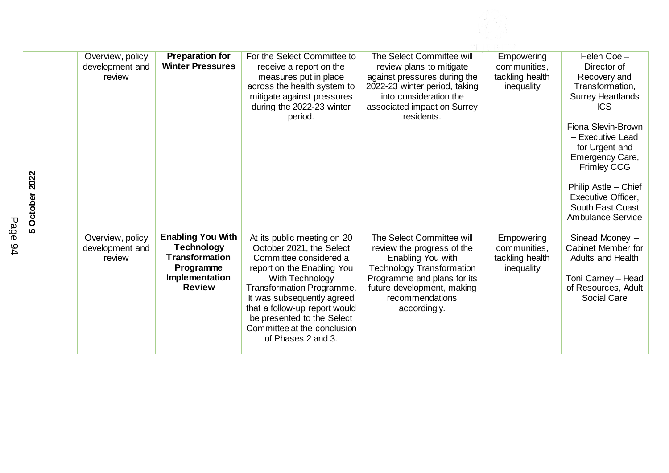| October 2022 | Overview, policy<br>development and<br>review | <b>Preparation for</b><br><b>Winter Pressures</b>                                                                      | For the Select Committee to<br>receive a report on the<br>measures put in place<br>across the health system to<br>mitigate against pressures<br>during the 2022-23 winter<br>period.                                                                                                                              | The Select Committee will<br>review plans to mitigate<br>against pressures during the<br>2022-23 winter period, taking<br>into consideration the<br>associated impact on Surrey<br>residents.                    | Empowering<br>communities,<br>tackling health<br>inequality | Helen Coe-<br>Director of<br>Recovery and<br>Transformation,<br><b>Surrey Heartlands</b><br><b>ICS</b><br>Fiona Slevin-Brown<br>- Executive Lead<br>for Urgent and<br>Emergency Care,<br><b>Frimley CCG</b><br>Philip Astle - Chief<br>Executive Officer,<br>South East Coast<br><b>Ambulance Service</b> |
|--------------|-----------------------------------------------|------------------------------------------------------------------------------------------------------------------------|-------------------------------------------------------------------------------------------------------------------------------------------------------------------------------------------------------------------------------------------------------------------------------------------------------------------|------------------------------------------------------------------------------------------------------------------------------------------------------------------------------------------------------------------|-------------------------------------------------------------|-----------------------------------------------------------------------------------------------------------------------------------------------------------------------------------------------------------------------------------------------------------------------------------------------------------|
| ഗ            | Overview, policy<br>development and<br>review | <b>Enabling You With</b><br><b>Technology</b><br><b>Transformation</b><br>Programme<br>Implementation<br><b>Review</b> | At its public meeting on 20<br>October 2021, the Select<br>Committee considered a<br>report on the Enabling You<br>With Technology<br>Transformation Programme.<br>It was subsequently agreed<br>that a follow-up report would<br>be presented to the Select<br>Committee at the conclusion<br>of Phases 2 and 3. | The Select Committee will<br>review the progress of the<br>Enabling You with<br><b>Technology Transformation</b><br>Programme and plans for its<br>future development, making<br>recommendations<br>accordingly. | Empowering<br>communities,<br>tackling health<br>inequality | Sinead Mooney -<br>Cabinet Member for<br><b>Adults and Health</b><br>Toni Carney - Head<br>of Resources, Adult<br>Social Care                                                                                                                                                                             |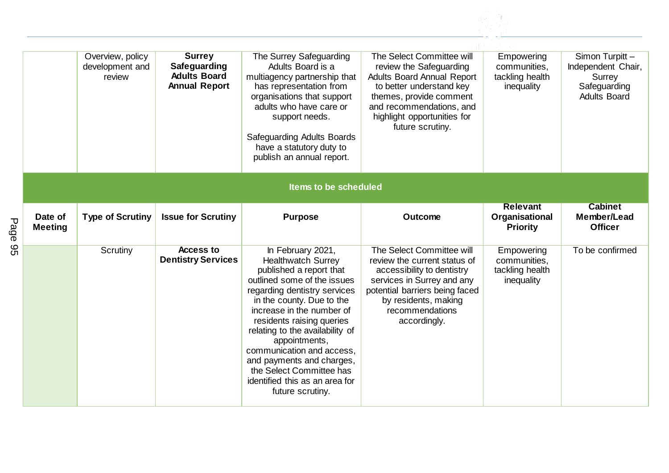|                           | Overview, policy<br>development and<br>review | <b>Surrey</b><br>Safeguarding<br><b>Adults Board</b><br><b>Annual Report</b> | The Surrey Safeguarding<br>Adults Board is a<br>multiagency partnership that<br>has representation from<br>organisations that support<br>adults who have care or<br>support needs.<br><b>Safeguarding Adults Boards</b><br>have a statutory duty to<br>publish an annual report.                                                                                                                                                | The Select Committee will<br>review the Safeguarding<br><b>Adults Board Annual Report</b><br>to better understand key<br>themes, provide comment<br>and recommendations, and<br>highlight opportunities for<br>future scrutiny. | Empowering<br>communities,<br>tackling health<br>inequality | Simon Turpitt-<br>Independent Chair,<br>Surrey<br>Safeguarding<br><b>Adults Board</b> |
|---------------------------|-----------------------------------------------|------------------------------------------------------------------------------|---------------------------------------------------------------------------------------------------------------------------------------------------------------------------------------------------------------------------------------------------------------------------------------------------------------------------------------------------------------------------------------------------------------------------------|---------------------------------------------------------------------------------------------------------------------------------------------------------------------------------------------------------------------------------|-------------------------------------------------------------|---------------------------------------------------------------------------------------|
|                           |                                               |                                                                              | <b>Items to be scheduled</b>                                                                                                                                                                                                                                                                                                                                                                                                    |                                                                                                                                                                                                                                 |                                                             |                                                                                       |
| Date of<br><b>Meeting</b> | <b>Type of Scrutiny</b>                       | <b>Issue for Scrutiny</b>                                                    | <b>Purpose</b>                                                                                                                                                                                                                                                                                                                                                                                                                  | <b>Outcome</b>                                                                                                                                                                                                                  | <b>Relevant</b><br>Organisational<br><b>Priority</b>        | <b>Cabinet</b><br>Member/Lead<br><b>Officer</b>                                       |
|                           | Scrutiny                                      | <b>Access to</b><br><b>Dentistry Services</b>                                | In February 2021,<br><b>Healthwatch Surrey</b><br>published a report that<br>outlined some of the issues<br>regarding dentistry services<br>in the county. Due to the<br>increase in the number of<br>residents raising queries<br>relating to the availability of<br>appointments,<br>communication and access.<br>and payments and charges,<br>the Select Committee has<br>identified this as an area for<br>future scrutiny. | The Select Committee will<br>review the current status of<br>accessibility to dentistry<br>services in Surrey and any<br>potential barriers being faced<br>by residents, making<br>recommendations<br>accordingly.              | Empowering<br>communities,<br>tackling health<br>inequality | To be confirmed                                                                       |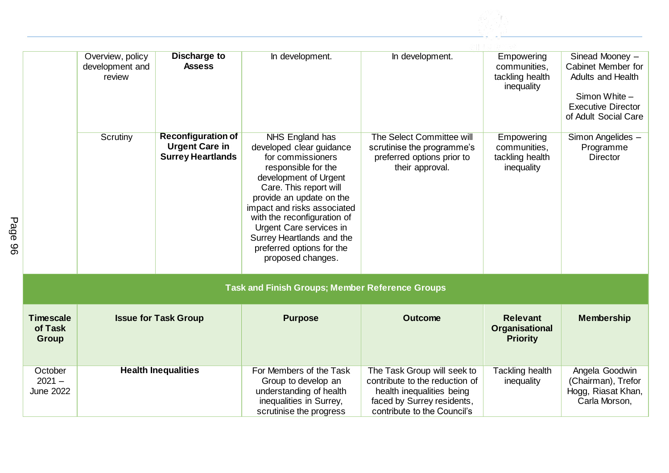

|                                             | Overview, policy<br>development and<br>review<br><b>Scrutiny</b> | <b>Discharge to</b><br><b>Assess</b><br><b>Reconfiguration of</b><br><b>Urgent Care in</b><br><b>Surrey Heartlands</b> | In development.<br>NHS England has<br>developed clear guidance<br>for commissioners<br>responsible for the<br>development of Urgent                                                                                        | In development.<br>The Select Committee will<br>scrutinise the programme's<br>preferred options prior to<br>their approval.                             | Empowering<br>communities,<br>tackling health<br>inequality<br>Empowering<br>communities,<br>tackling health<br>inequality | Sinead Mooney -<br>Cabinet Member for<br><b>Adults and Health</b><br>Simon White -<br><b>Executive Director</b><br>of Adult Social Care<br>Simon Angelides -<br>Programme<br><b>Director</b> |
|---------------------------------------------|------------------------------------------------------------------|------------------------------------------------------------------------------------------------------------------------|----------------------------------------------------------------------------------------------------------------------------------------------------------------------------------------------------------------------------|---------------------------------------------------------------------------------------------------------------------------------------------------------|----------------------------------------------------------------------------------------------------------------------------|----------------------------------------------------------------------------------------------------------------------------------------------------------------------------------------------|
|                                             |                                                                  |                                                                                                                        | Care. This report will<br>provide an update on the<br>impact and risks associated<br>with the reconfiguration of<br>Urgent Care services in<br>Surrey Heartlands and the<br>preferred options for the<br>proposed changes. |                                                                                                                                                         |                                                                                                                            |                                                                                                                                                                                              |
|                                             |                                                                  |                                                                                                                        | <b>Task and Finish Groups; Member Reference Groups</b>                                                                                                                                                                     |                                                                                                                                                         |                                                                                                                            |                                                                                                                                                                                              |
| <b>Timescale</b><br>of Task<br><b>Group</b> |                                                                  | <b>Issue for Task Group</b>                                                                                            | <b>Purpose</b>                                                                                                                                                                                                             | <b>Outcome</b>                                                                                                                                          | <b>Relevant</b><br>Organisational<br><b>Priority</b>                                                                       | <b>Membership</b>                                                                                                                                                                            |
| October<br>$2021 -$<br><b>June 2022</b>     |                                                                  | <b>Health Inequalities</b>                                                                                             | For Members of the Task<br>Group to develop an<br>understanding of health<br>inequalities in Surrey,<br>scrutinise the progress                                                                                            | The Task Group will seek to<br>contribute to the reduction of<br>health inequalities being<br>faced by Surrey residents,<br>contribute to the Council's | <b>Tackling health</b><br>inequality                                                                                       | Angela Goodwin<br>(Chairman), Trefor<br>Hogg, Riasat Khan,<br>Carla Morson,                                                                                                                  |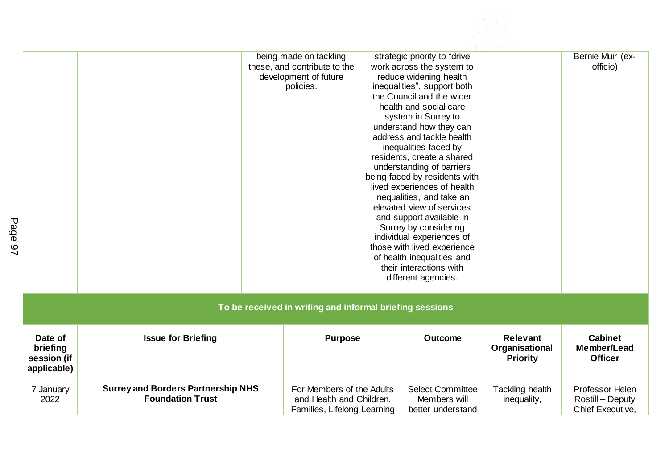|                                                   |                                                                      | being made on tackling<br>these, and contribute to the<br>development of future<br>policies. | strategic priority to "drive<br>work across the system to<br>reduce widening health<br>inequalities", support both<br>the Council and the wider<br>health and social care<br>system in Surrey to<br>understand how they can<br>address and tackle health<br>inequalities faced by<br>residents, create a shared<br>understanding of barriers<br>being faced by residents with<br>lived experiences of health<br>inequalities, and take an<br>elevated view of services<br>and support available in<br>Surrey by considering<br>individual experiences of<br>those with lived experience<br>of health inequalities and<br>their interactions with<br>different agencies. |                                                      | Bernie Muir (ex-<br>officio)                                   |
|---------------------------------------------------|----------------------------------------------------------------------|----------------------------------------------------------------------------------------------|-------------------------------------------------------------------------------------------------------------------------------------------------------------------------------------------------------------------------------------------------------------------------------------------------------------------------------------------------------------------------------------------------------------------------------------------------------------------------------------------------------------------------------------------------------------------------------------------------------------------------------------------------------------------------|------------------------------------------------------|----------------------------------------------------------------|
|                                                   |                                                                      | To be received in writing and informal briefing sessions                                     |                                                                                                                                                                                                                                                                                                                                                                                                                                                                                                                                                                                                                                                                         |                                                      |                                                                |
| Date of<br>briefing<br>session (if<br>applicable) | <b>Issue for Briefing</b>                                            | <b>Purpose</b>                                                                               | <b>Outcome</b>                                                                                                                                                                                                                                                                                                                                                                                                                                                                                                                                                                                                                                                          | <b>Relevant</b><br>Organisational<br><b>Priority</b> | <b>Cabinet</b><br>Member/Lead<br><b>Officer</b>                |
| 7 January<br>2022                                 | <b>Surrey and Borders Partnership NHS</b><br><b>Foundation Trust</b> | For Members of the Adults<br>and Health and Children,<br>Families, Lifelong Learning         | <b>Select Committee</b><br>Members will<br>better understand                                                                                                                                                                                                                                                                                                                                                                                                                                                                                                                                                                                                            | <b>Tackling health</b><br>inequality,                | <b>Professor Helen</b><br>Rostill - Deputy<br>Chief Executive, |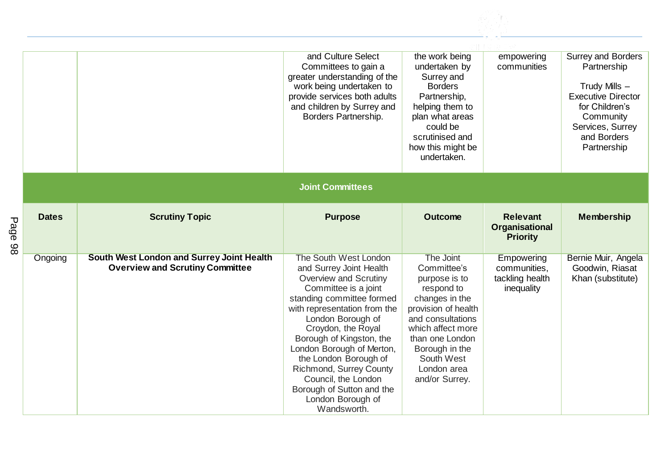|              |                                                                                            | and Culture Select<br>Committees to gain a<br>greater understanding of the<br>work being undertaken to<br>provide services both adults<br>and children by Surrey and<br>Borders Partnership.                                                                                                                                                                                                                   | the work being<br>undertaken by<br>Surrey and<br><b>Borders</b><br>Partnership,<br>helping them to<br>plan what areas<br>could be<br>scrutinised and<br>how this might be<br>undertaken.                                       | empowering<br>communities                                   | Surrey and Borders<br>Partnership<br>Trudy Mills -<br><b>Executive Director</b><br>for Children's<br>Community<br>Services, Surrey<br>and Borders<br>Partnership |  |  |
|--------------|--------------------------------------------------------------------------------------------|----------------------------------------------------------------------------------------------------------------------------------------------------------------------------------------------------------------------------------------------------------------------------------------------------------------------------------------------------------------------------------------------------------------|--------------------------------------------------------------------------------------------------------------------------------------------------------------------------------------------------------------------------------|-------------------------------------------------------------|------------------------------------------------------------------------------------------------------------------------------------------------------------------|--|--|
|              | <b>Joint Committees</b>                                                                    |                                                                                                                                                                                                                                                                                                                                                                                                                |                                                                                                                                                                                                                                |                                                             |                                                                                                                                                                  |  |  |
| <b>Dates</b> | <b>Scrutiny Topic</b>                                                                      | <b>Purpose</b>                                                                                                                                                                                                                                                                                                                                                                                                 | <b>Outcome</b>                                                                                                                                                                                                                 | <b>Relevant</b><br><b>Organisational</b><br><b>Priority</b> | <b>Membership</b>                                                                                                                                                |  |  |
| Ongoing      | <b>South West London and Surrey Joint Health</b><br><b>Overview and Scrutiny Committee</b> | The South West London<br>and Surrey Joint Health<br>Overview and Scrutiny<br>Committee is a joint<br>standing committee formed<br>with representation from the<br>London Borough of<br>Croydon, the Royal<br>Borough of Kingston, the<br>London Borough of Merton,<br>the London Borough of<br>Richmond, Surrey County<br>Council, the London<br>Borough of Sutton and the<br>London Borough of<br>Wandsworth. | The Joint<br>Committee's<br>purpose is to<br>respond to<br>changes in the<br>provision of health<br>and consultations<br>which affect more<br>than one London<br>Borough in the<br>South West<br>London area<br>and/or Surrey. | Empowering<br>communities,<br>tackling health<br>inequality | Bernie Muir, Angela<br>Goodwin, Riasat<br>Khan (substitute)                                                                                                      |  |  |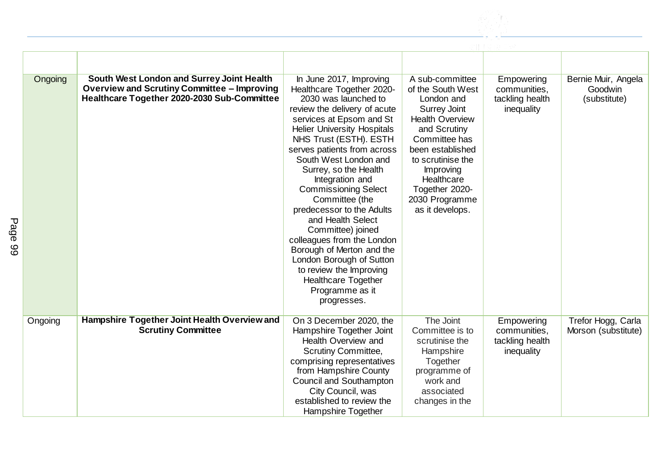